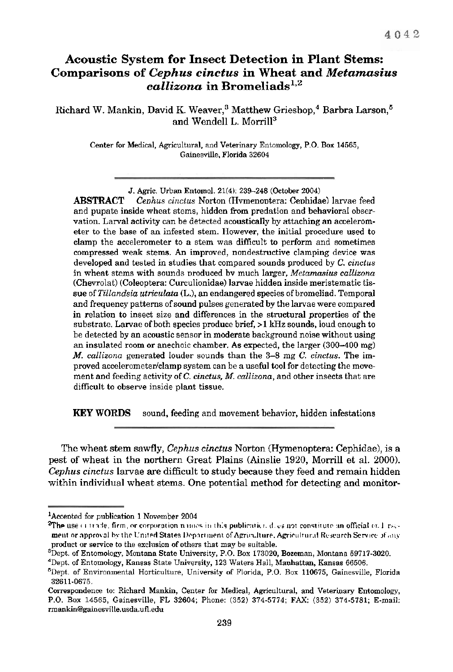# **Acoustic System for Insect Detection in Plant Stems: Comparisons of** *Cephus cinctus* **in Wheat** *and Metamasius*   $cailizona$  in Bromeliads<sup>1,2</sup>

Richard W. Mankin, David K. Weaver,<sup>3</sup> Matthew Grieshop,<sup>4</sup> Barbra Larson,<sup>5</sup> and Wendell L. Morril13

> Center for Medical, Agricultural, and Veterinery Entomology, P.O. **Box** 14565, Gainesvllle. Florida 32604

**ABSTRACT** *Ceohus* einctus Norton (Hvmenontera: Cenhidae) larvae feed and pupate inside wheat stems, hidden from predation and behavioral observation. Larval activity can be detected acoustically by attaching an accelerometer to the base of an infested stem. However, the initial procedure used to clamp the accelerometer to a stem was difficult to perform and sometimes compressed weak stems. An improved, nondestructive clamping device was developed and tested in studies that compared sounds produced by C. cinctus in wheat stems with sounds produced by much larger. Metamasius callizona (Chevrolat) (Coleoptera: Curculionidae) larvae hidden inside meristematie tissue of Tillandsia utriculata (L.), an endangered species of bromeliad. Temporal and frequency patterns of sound pulses generated by the larvae were compared in relation to insect size and differences in the structural properties of the substrate. Larvae of both species produce brief,  $>1$  kHz sounds, loud enough to be detected by an acoustic sensor in moderate hackground noise without using an insulated room or anechoic chamber. As expected, the larger (300-400 mg) **M.** callizona generated louder sounds than the 3-8 mg C. cinctus. The improved accelerometer/clamp system can be a useful tool for detecting the movement and feeding activity of C. cinctus, M. callizona, and other insects that are difficult to observe inside plant tissue.

**KEY WORDS** sound, feeding and movement behavior, hidden infestations

The wheat stem sawfly, *Cephus cinctus* Norton (Hymenoptera: Cephidae), is a pest of wheat in the northern Great Plains (Ainslie 1920, Morrill et al. 2000). Cephus **cinctus** larvae are difficult to study because they feed and remain hidden within individual wheat stems. One potential method for detecting and monitor-

**J.** Agric. Urban Entomol. 21(4): 239-248 (October 2004)

 $^{1}$ Accented for publication 1 November 2004

**The use**  $\epsilon$  **i** trade, firm, or corporation naines in this publication does not constitute an official  $\epsilon r$ . 1 rs... **ment or approval by the United States Department of Agriculture, Agricultur.tl Research Service of any** product or service to the enelusion of others that may be suitable.

 ${}^{8}$ Dept. of Entomology, Montana State University, P.O. Box 173020, Bozeman, Montana 59717-3020.

<sup>&#</sup>x27;Dept. of Entomologg, **Kansas** State University, 123 Waters Hall, Manhattan, **Kansas** 66506.

<sup>&#</sup>x27;Dept. of Environmental Horticulture, University of Florida, P.O. **Box** 110675, Gainesville, Florida 32611.0675,

Correspondence to: Richard **Maakio,** Center for Medical, Agricultural, and Veterinary Entomology, **P.O. Box** 14565, Geinesville, FL 32604; Phone: (352) 374-5774; FAX: (352) 374-5181; E-mail: **mankin@gaioesville.u6da.ufl.edu**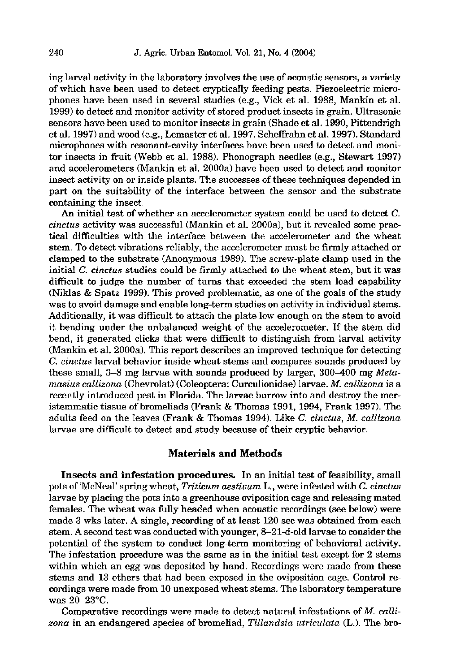ing larval activity in the laboratory involves the use of acoustic sensors, a variety of which have been used to detect cryptically feeding pests. Piezoelectric microphones have been used in several studies (e.g., Vick et al. 1988, Mankin et al. 1999) to detect and monitor activity of stored product insects in grain. Ultrasonic sensors have been used to monitor insects in grain (Shade et al. 1990, Pittendrigh et al. 1997) and wood (e.g., Lemaster et al. 1997. Scheffrahn et al. 1997). Standard microphones with resonant-cavity interfaces have been used to detect and monitor insects in fruit (Webb et al. 1988). Phonograph needles (e.g., Stewart 1997) and accelerometers (Mankin et al. 2000a) have been used to detect and monitor insect activity on or inside plants. The successes of these techniques depended in part on the suitability of the interface between the sensor and the substrate containing the insect.

An initial test of whether an accelerometer system could be used to detect **C.**   $cinctus$  activity was successful (Mankin et al. 2000a), but it revealed some practical difficulties with the interface between the accelerometer and the wheat stem. To detect vibrations reliably, the accelerometer must be firmly attached or clamped to the substrate (Anonymous 1989). The screw-plate clamp used in the initial C. cinctus studies could be firmly attached to the wheat stem, hut it was difficult to judge the number of turns that exceeded the stem load capability (Niklas & Spatz 1999). This proved problematic, as one of the goals of the study was to avoid damage and enable long-term studies on activity in individual stems. Additionally, it was difficult to attach the plate low enough on the stem to avoid it bendina under the unbalanced weight of the accelerometer. If the stem did bend, it generated clicks that were difficult to distinguish from larval activity (Mankin et al. 2000a). This report describes an improved technique for detecting  $C.$  cinctus larval behavior inside wheat stems and compares sounds produced by these small, **3-8** mg larvae with sounds produced by larger, 300-400 mg Metamasius callizona (Chevrolat) (Coleoptera: Curculionidae) larvae. M. callizona is a recently introduced pest in Florida. The larvae burrow into and destroy the meristemmatic tissue of bromeliads (Frank & Thomas 1991,1994, Frank 1997). The adults feed on the leaves (Frank & Thomas 1994). Like **C.** cinctus. M. callizona larvae are difficult to detect and study because of their cryptic behavior.

#### Materials and Methods

Insects and infestation **procedures.** In an initial test of feasibility, small pots of 'McNeal' spring wheat, Triticum aestivum L., were infested with C. cinctus larvae by placing the pots into a greenhouse oviposition cage and releasing mated females. The wheat was fully headed when acoustic recordings (see below) were made 3 wks later. A single, recording of at least 120 sec was obtained from each stem. A second test was conducted with younger, 8-21-d-old larvae to consider the potential of the system to conduct long-term monitoring of behavioral activity. The infestation procedure was the same as in the initial test except for 2 stems within which an egg was deposited by hand. Recordings were made from these stems and 13 others that had been exposed in the oviposition cage. Control recordings were made from 10 unexposed wheat stems. The laboratory temperature was 20-23'C.

Comparative recordings were made to detect natural infestations of M. callizona in an endangered species of bromeliad, Tillandsia utriculata (L.). The bro-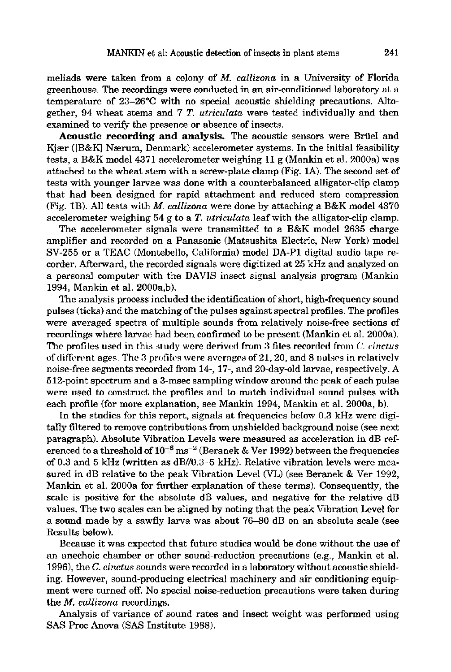meliads were taken from a colony of *M.* callizona in a University of Florida greenhouse. The recordings were conducted in an air-conditioned laboratory at a temperature of 23-26'C with no special acoustic shielding precautions. Altogether, 94 wheat stems and 7 T. utriculata were tested individually and then examined to verify the presence or absence of insects.

**Acoustic recording and analysis.** The acoustic sensors were Briiel and Kjær ([B&K] Nærum, Denmark) accelerometer systems. In the initial feasibility tests, a B&K model 4371 accelerometer weighing 11 g (Mankin et al. 2000a) was attached to the wheat stem with a screw-plate clamp (Fig. 1A). The second set of tests with younger larvae was done with a counterbalanced alligator-clip clamp that had been designed for rapid attachment and reduced stem compression (Fig. 1B). All tests with  $M$ . *callizona* were done by attaching a B&K model 4370 accelerometer weighing 54 g to a **T.** utriculata leaf with the alligator-clip clamp.

The accelerometer signals were transmitted to a B&K model 2635 charge amplifier and recorded on a Panasonic (Matsushita Electric, New York) model SV-255 or a TEAC (Montebello, California) model DA-P1 digital audio tape recorder. ARerward, the recorded signals were digitized at 25 **kHz** and analyzed on a personal computer with the DAVIS insect signal analysis program (Mankin 1994, Mankin et al. 2000a.b).

The analysis process included the identification of short, high-frequency sound pulses (ticks) and the matching of the pulses against spectral profiles. The profiles were averaged spectra of multiple sounds from relatively noise-free sections of recordings where larvae had been confirmed to be present (Mankin et al. 2000a). The profiles used in this study were derived from 3 files recorded from *C. cinctus* of different ages. The 3 profiles were averages of 21, 20, and 8 pulses in relativelv noise-free segments recorded from 14-, 17-, and 20-day-old larvae, respectively. A 512-point spectrum and a 3-msec sampling window around the peak of each pulse were used to construct the profiles and to match individual sound pulses with each profile (for more explanation, see Mankin 1994, Mankin et al. 2000a, b).

In the studies for this report, signals at frequencies below 0.3 kHz were digitally filtered to remove contributions from unshielded background noise (see next paragraph). Absolute Vibration Levels were measured as acceleration in dB referenced to a threshold of  $10^{-6}$  ms<sup>-2</sup> (Beranek & Ver 1992) between the frequencies of 0.3 and 5 kHz (written as  $dB/(0.3-5$  kHz). Relative vibration levels were measured in dB relative to the peak Vibration Level (VL) (see Beranek & Ver 1992, Mankin et al. 2000a for further explanation of these terms). Consequently, the scale is positive for the absolute dB values, and negative for the relative dB values. The two scales can be aligned by noting that the peak Vibration Level for a sound made by a sawfly larva was about 76–80 dB on an absolute scale (see Results below).

Because it was expeded that future studies would be done without the use of an anechoic chamber or other sound-reduction precautions (e.g., Mankin et al. 1996), the **C.** cinctus sounds were recorded in a laboratory without acoustic shielding. However, sonnd-producing electrical machinery and air conditioning equipment were turned off. No special noise-reduction precautions were taken during the M. callizona recordings.

Analysis of variance of sound rates and insect weight was performed using SAS Proc Anwa (SAS Institute 1988).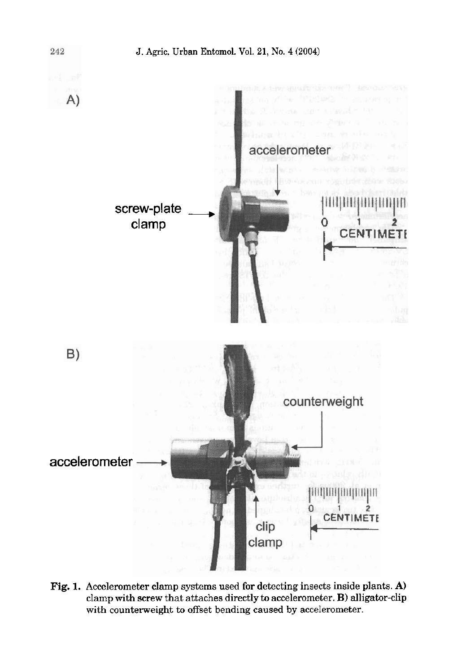

**Fig. 1. Accelerometer clamp systems used for detecting insects inside plants. A) clamp with screw that attaches directly to accelerometer. B) alligator-clip with counterweight to offset bending caused by accelerometer.**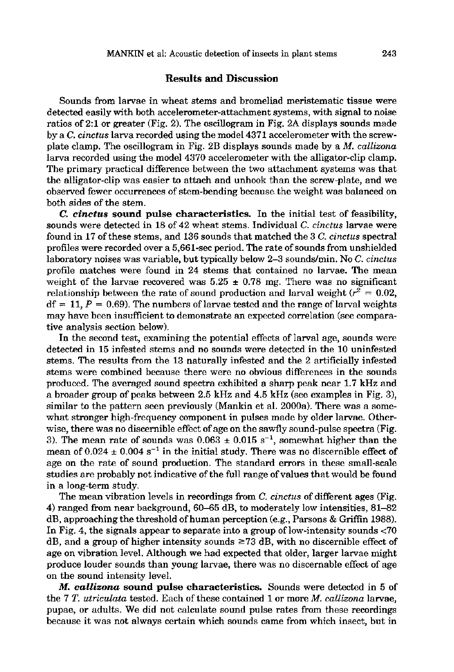#### Results and Discussion

Sounds from larvae in wheat stems and bromeliad meristematic tissue were detected easily with both accelerometer-attachment systems, with signal to noise ratios of 2:l or greater (Fig. 2). The oscillogram in Fig. 2A displays sounds made by a C, cinctus larva recorded using the model 4371 accelerometer with the screwplate clamp. The oscillogram in Fig. 2B displays sounds made by a *M.* callizona larva recorded using the model 4370 accelerometer with the alligator-clip clamp. The primary practical difference between the two attachment systems was that the alligator-clip was easier to attach and unhook than the screw-plate, and we observed fewer occurrences of stem-bending because the weight was balanced on both sides of the stem.

**C,** *cimtus* sound pulse characteristics. In the initial test of feasibilitg, sounds were detected in 18 of 42 wheat stems. Individual C. cinctus larvae were found in 17 of these stems, and 136 sounds that matched the 3 *C.* cinctus spectral profiles were recorded over a 5,661-sec period. The rate of sounds from unshielded laboratory noises was variable, but typically below  $2-3$  sounds/min. No C. cinctus profile matches were found in 24 stems that contained no larvae. The mean weight of the larvae recovered was  $5.25 \pm 0.78$  mg. There was no significant relationship between the rate of sound production and larval weight ( $r^2 = 0.02$ ,  $df = 11, P = 0.69$ . The numbers of larvae tested and the range of larval weights may have been insufficient to demonstrate an expected correlation (see comparative analysis section below).

In the second test, examining the potential effects of larval age, sounds were detected in 15 infested stems and no sounds were detected in the 10 uninfested stems. The results from the 13 naturally infested and the 2 artificially infested stems were combined because there were no obvious differences in the sounds produced. The averaged sound spectra exhibited a sharp peak near 1.7 kHz and a broader group of peaks between 2.5 kHz and 4.5 kHz (see examples in Fig. 3), similar to the pattern seen previously (Mankin et al. 2000a). There was a somewhat stronger high-frequency component in pulses made by older larvae. Otherwise, there was no discernible effect of age on the sawfly sound-pulse spectra (Fig. 3). The mean rate of sounds was  $0.063 \pm 0.015$  s<sup>-1</sup>, somewhat higher than the mean of  $0.024 \pm 0.004$  s<sup>-1</sup> in the initial study. There was no discernible effect of age on the rate of sound production. The standard errors in these small-scale studies are probably not indicative of the full range of values that would be found in a long-term study.

The mean vibration levels in recordings from C. cinctus of different ages (Fig. 4) ranged from near background,  $60-65$  dB, to moderately low intensities,  $81-82$ dB, approaching the threshold of human perception (e.g., Parsons & Griffin 1988). In Fig. 4, the signals appear to separate into a group of low-intensity sounds <70 dB, and a group of higher intensity sounds  $\geq 73$  dB, with no discernible effect of age on vibration level. Although we had expected that older, larger larvae might produce louder sounds than young larvae, there was no discernable effect of age on the sound intensity level.

M. **callizona** sound pulse characteristics. Sounds were detected in 5 of the 7 T. *utriculata* tested. Each of these contained 1 or more *M. callizona* larvae, pupae, or adults. We did not calculate sound pulse rates from these recordings because it was not always certain which sounds came from which insect, but in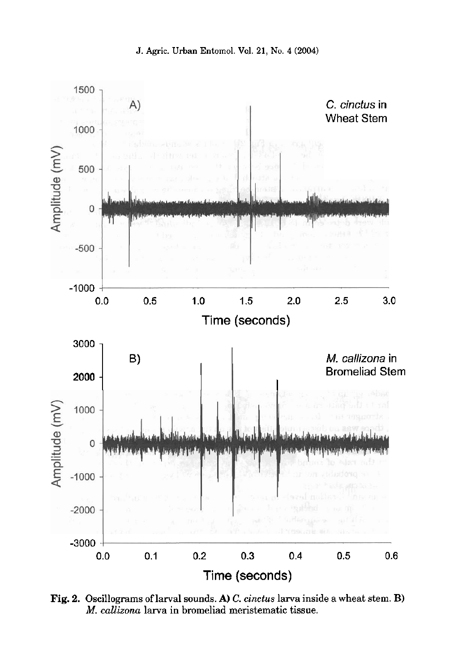

**Fig. 2. Oscillograms of larval sounds. A)** *C.* **cinctus larva inside a wheat stem. B) M.** *callizona* **larva in bromeliad meristematic tissue.**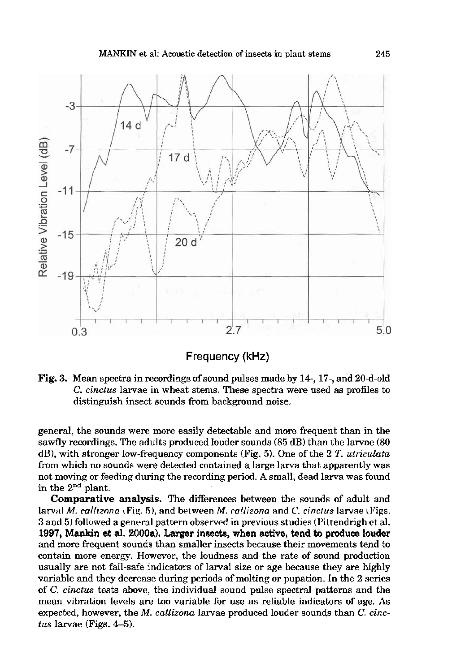

**Frequency (kHz)** 

**Fig. 3.** Mean spectra in recordings of sound pulses made by 14-, 17-, and 20-d-old C. cinctus larvae in wheat stems. These spectra were used as profiles to distinguish insect sounds from background noise.

general, the sounds were more easily detectable and more frequent than in the sawfly recordings. The adults produced louder sounds  $(85 dB)$  than the larvae  $(80 H)$ dB), with stronger low-frequency components (Fig. 5). One of the 2 **T.** utriculata from which no sounds were detected contained a large larva that apparently was not moving or feeding during the recording period. A small, dead larva was found in the **Znd** plant.

**Comparative analysis.** The differences between the sounds of adult and larval M. callrzona (Fig. **h),** and between **M.** collizona and *C* cincrus larvae (Figs. **3** and 5) followed a general pattern observed in previous studies (Pittendrigh et al. 1997, Mankin et al. 2000a). Larger insects, when active, tend to produce louder and more frequent sounds than smaller insects because their movements tend to contain more energy. However, the loudness and the rate of sound production usually are not fail-safe indicators of larval size or age because they are highly variable and they decrease during periods of molting or pupation. In the 2 series of  $C$ . cinctus tests above, the individual sound pulse spectral patterns and the mean vibration levels are too variable for use as reliable indicators of age. As expected, however, the *M. callizona* larvae produced louder sounds than *C. cinc* $tus$  larvae (Figs.  $4-5$ ).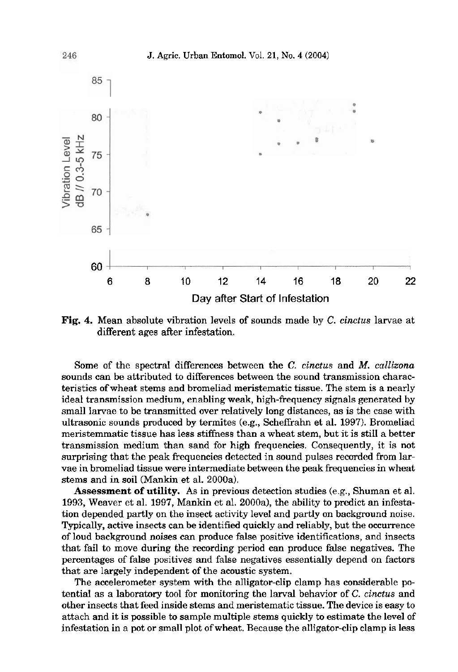

Fig. 4. Mean absolute vibration levels of sounds made by C. cinctus larvae at different ages after infestation.

Some of the spectral differences between the C. cinctus and **M.** callizona sounds can be attributed to differences between the sound transmission characteristics ofwheat stems and bromeliad meristematic tissue. The stem is a nearly ideal transmission medium, enabling weak, high-frequency signals generated by small larvae to be transmitted over relatively long distances, as is the case with ultrasonic sounds produced by termites (e.g., SchefFrahn et al. 1997). Bromeliad meristemmatic tissue has less stiffness than a wheat stem, but it is still a better transmission medium than sand for high frequencies. Consequently, it is not surprising that the peak frequencies detected in sound pulses recorded from larvae in bromeliad tissue were intermediate between the peak frequencies in wheat stems and in soil (Mankin et al. 2000a).

**Assessment** of **utility.** As in previous detection studies (e.g., Shuman et al. 1993, Weaver et al. 1997, Mankin et al. 2000a), the ability to predict an infestation depended partly on the insect activity level and partly on background noise. Typically, active insects can be identified quickly and reliably, but the occurrence of loud background noises can produce false positive identifications, and insects that fail to move during the recording period can produce false negatives. The percentages of false positives and false negatives essentially depend on factors that are largely independent of the acoustic system.

The accelerometer system with the alligator-clip clamp has considerable potential as a laboratory tool for monitoring the larval behavior of C. cinctus and other insects that feed inside stems and meristematic tissue. The device is easy to attach and it is possible to sample multiple stems quickly to estimate the level of infestation in a pot or small plot of wheat. Because the alligator-clip clamp is less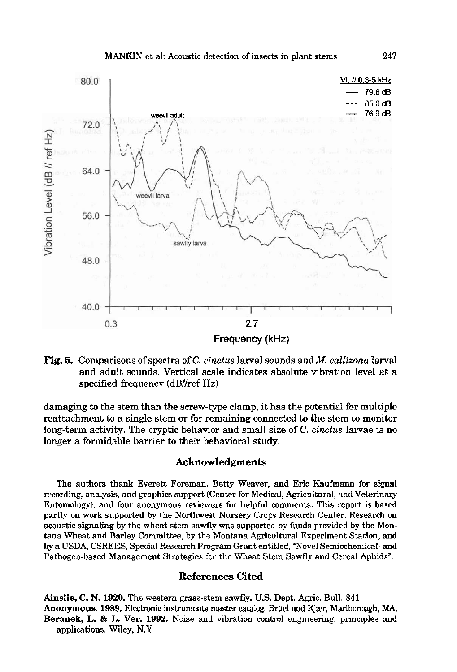

## **Fig.** 5. Comparisons of spectra of C. cinctus larval sounds and **M.** callizona larval and adult sounds. Vertical scale indicates absolute vibration level at a specified frequency (dB//ref Hz)

damaging to the stem than the screw-type clamp, it has the potential for multiple reattachment to a single stem or for remaining connected to the stem to monitor long-term activity. The cryptic behavior and small size of *C.* cinctus larvae is no longer a formidable barrier to their behavioral study.

### **Acknowledgments**

The authors thank Everett Foreman, Betty Weaver, and Eric Kaufmann for signal recording, analysis, and graphics support (Center for Medical, Agricultural, and Veterinary Entomology), and four anonymous reviewers for helpful comments. This report is based partly on work supported by the Northwest Nursery Crops Research Center. Research on acoustic signaling by the wheat stem sawfly was supported by funds provided by the Montana Wheat and Barley Committee, by the Montana Agricultural Experiment Station, and by a USDA, CSREES, Special Research Program Grant entitled, "Novel Semiochemical- and Pathogen-based Management Strategies for the Wheat Stem Sawfly and Cereal Aphids".

## **References Cited**

**Ainslie, C. N. 1920. The** western grass-stem sawfly. U.S. Dept. Agric. Bull. 841. Anonymous. 1989. Electronic instruments master catalog. Brüel and Kjær, Marlborough, MA. **Beranek,** L. & **L.** Ver. **1992.** Noise and vibration control engineering: principles and applications. Wiley, N.Y.